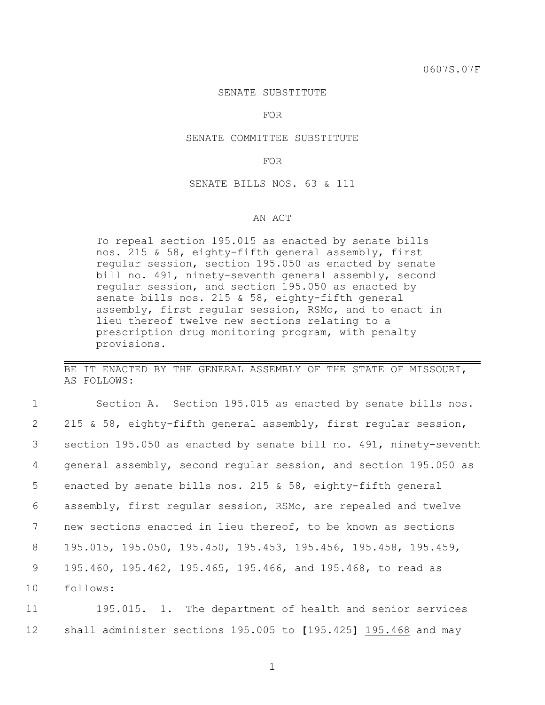## SENATE SUBSTITUTE

FOR

## SENATE COMMITTEE SUBSTITUTE

FOR

SENATE BILLS NOS. 63 & 111

## AN ACT

To repeal section 195.015 as enacted by senate bills nos. 215 & 58, eighty-fifth general assembly, first regular session, section 195.050 as enacted by senate bill no. 491, ninety-seventh general assembly, second regular session, and section 195.050 as enacted by senate bills nos. 215 & 58, eighty-fifth general assembly, first regular session, RSMo, and to enact in lieu thereof twelve new sections relating to a prescription drug monitoring program, with penalty provisions.

BE IT ENACTED BY THE GENERAL ASSEMBLY OF THE STATE OF MISSOURI, AS FOLLOWS:

 Section A. Section 195.015 as enacted by senate bills nos. 215 & 58, eighty-fifth general assembly, first regular session, section 195.050 as enacted by senate bill no. 491, ninety-seventh general assembly, second regular session, and section 195.050 as enacted by senate bills nos. 215 & 58, eighty-fifth general assembly, first regular session, RSMo, are repealed and twelve new sections enacted in lieu thereof, to be known as sections 195.015, 195.050, 195.450, 195.453, 195.456, 195.458, 195.459, 195.460, 195.462, 195.465, 195.466, and 195.468, to read as 10 follows:

11 195.015. 1. The department of health and senior services 12 shall administer sections 195.005 to **[**195.425**]** 195.468 and may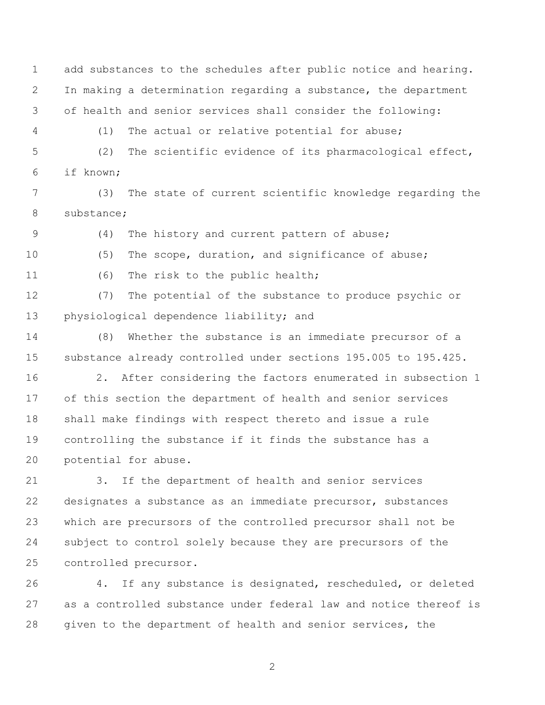add substances to the schedules after public notice and hearing. In making a determination regarding a substance, the department of health and senior services shall consider the following:

(1) The actual or relative potential for abuse;

 (2) The scientific evidence of its pharmacological effect, if known;

 (3) The state of current scientific knowledge regarding the substance;

(4) The history and current pattern of abuse;

(5) The scope, duration, and significance of abuse;

(6) The risk to the public health;

 (7) The potential of the substance to produce psychic or 13 physiological dependence liability; and

 (8) Whether the substance is an immediate precursor of a substance already controlled under sections 195.005 to 195.425.

 2. After considering the factors enumerated in subsection 1 of this section the department of health and senior services shall make findings with respect thereto and issue a rule controlling the substance if it finds the substance has a potential for abuse.

 3. If the department of health and senior services designates a substance as an immediate precursor, substances which are precursors of the controlled precursor shall not be subject to control solely because they are precursors of the controlled precursor.

 4. If any substance is designated, rescheduled, or deleted as a controlled substance under federal law and notice thereof is given to the department of health and senior services, the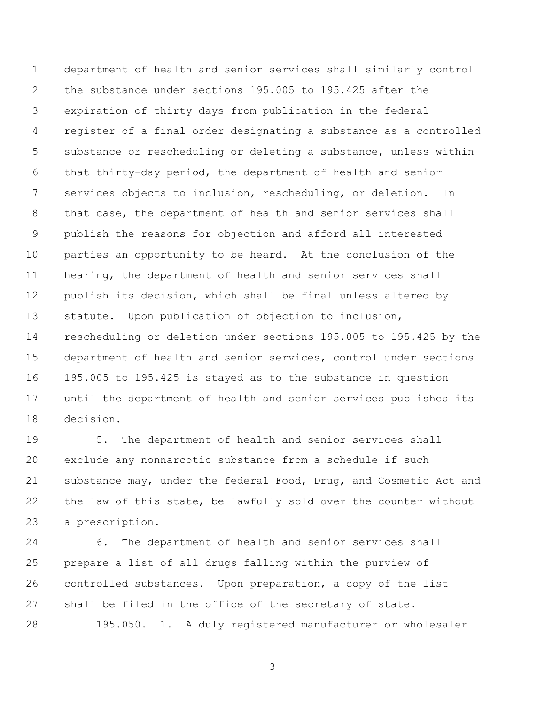department of health and senior services shall similarly control the substance under sections 195.005 to 195.425 after the expiration of thirty days from publication in the federal register of a final order designating a substance as a controlled substance or rescheduling or deleting a substance, unless within that thirty-day period, the department of health and senior services objects to inclusion, rescheduling, or deletion. In 8 that case, the department of health and senior services shall publish the reasons for objection and afford all interested parties an opportunity to be heard. At the conclusion of the hearing, the department of health and senior services shall publish its decision, which shall be final unless altered by statute. Upon publication of objection to inclusion, rescheduling or deletion under sections 195.005 to 195.425 by the department of health and senior services, control under sections 195.005 to 195.425 is stayed as to the substance in question until the department of health and senior services publishes its decision.

 5. The department of health and senior services shall exclude any nonnarcotic substance from a schedule if such substance may, under the federal Food, Drug, and Cosmetic Act and 22 the law of this state, be lawfully sold over the counter without a prescription.

 6. The department of health and senior services shall prepare a list of all drugs falling within the purview of controlled substances. Upon preparation, a copy of the list shall be filed in the office of the secretary of state. 195.050. 1. A duly registered manufacturer or wholesaler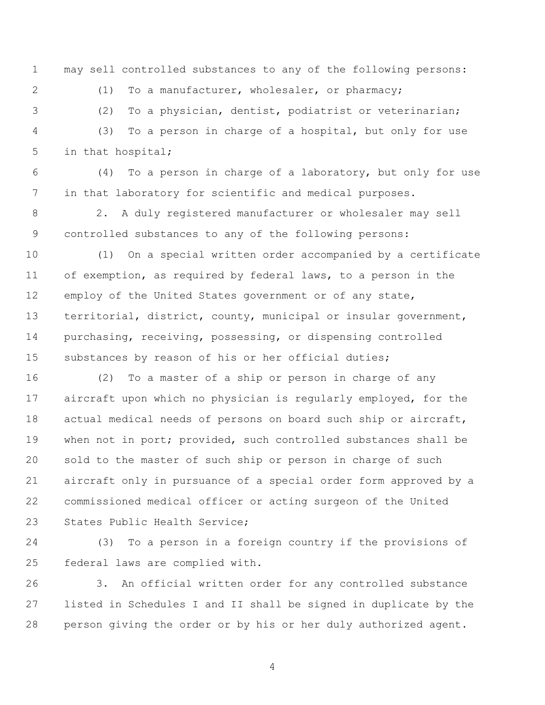may sell controlled substances to any of the following persons:

(1) To a manufacturer, wholesaler, or pharmacy;

(2) To a physician, dentist, podiatrist or veterinarian;

 (3) To a person in charge of a hospital, but only for use in that hospital;

 (4) To a person in charge of a laboratory, but only for use in that laboratory for scientific and medical purposes.

 2. A duly registered manufacturer or wholesaler may sell controlled substances to any of the following persons:

 (1) On a special written order accompanied by a certificate of exemption, as required by federal laws, to a person in the employ of the United States government or of any state, territorial, district, county, municipal or insular government, purchasing, receiving, possessing, or dispensing controlled substances by reason of his or her official duties;

 (2) To a master of a ship or person in charge of any aircraft upon which no physician is regularly employed, for the actual medical needs of persons on board such ship or aircraft, when not in port; provided, such controlled substances shall be sold to the master of such ship or person in charge of such aircraft only in pursuance of a special order form approved by a commissioned medical officer or acting surgeon of the United 23 States Public Health Service:

 (3) To a person in a foreign country if the provisions of federal laws are complied with.

 3. An official written order for any controlled substance listed in Schedules I and II shall be signed in duplicate by the person giving the order or by his or her duly authorized agent.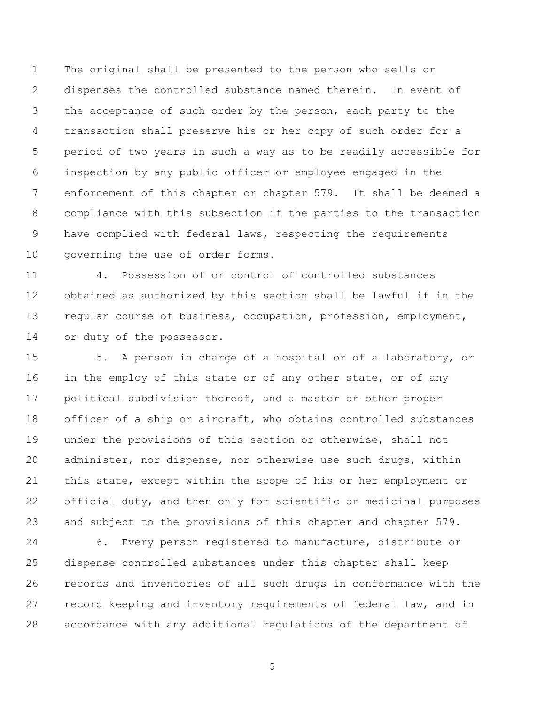The original shall be presented to the person who sells or dispenses the controlled substance named therein. In event of the acceptance of such order by the person, each party to the transaction shall preserve his or her copy of such order for a period of two years in such a way as to be readily accessible for inspection by any public officer or employee engaged in the enforcement of this chapter or chapter 579. It shall be deemed a compliance with this subsection if the parties to the transaction 9 have complied with federal laws, respecting the requirements governing the use of order forms.

 4. Possession of or control of controlled substances obtained as authorized by this section shall be lawful if in the regular course of business, occupation, profession, employment, or duty of the possessor.

 5. A person in charge of a hospital or of a laboratory, or 16 in the employ of this state or of any other state, or of any political subdivision thereof, and a master or other proper officer of a ship or aircraft, who obtains controlled substances under the provisions of this section or otherwise, shall not administer, nor dispense, nor otherwise use such drugs, within this state, except within the scope of his or her employment or official duty, and then only for scientific or medicinal purposes and subject to the provisions of this chapter and chapter 579.

 6. Every person registered to manufacture, distribute or dispense controlled substances under this chapter shall keep records and inventories of all such drugs in conformance with the record keeping and inventory requirements of federal law, and in accordance with any additional regulations of the department of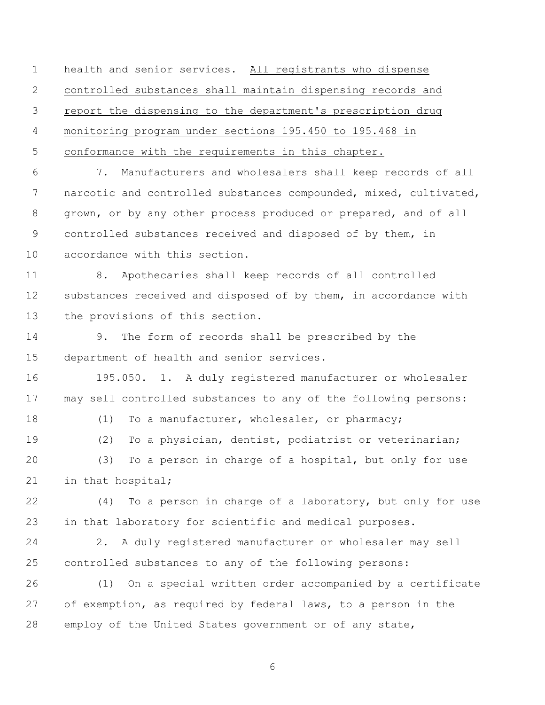health and senior services. All registrants who dispense controlled substances shall maintain dispensing records and report the dispensing to the department's prescription drug monitoring program under sections 195.450 to 195.468 in conformance with the requirements in this chapter.

 7. Manufacturers and wholesalers shall keep records of all narcotic and controlled substances compounded, mixed, cultivated, grown, or by any other process produced or prepared, and of all controlled substances received and disposed of by them, in accordance with this section.

 8. Apothecaries shall keep records of all controlled substances received and disposed of by them, in accordance with the provisions of this section.

 9. The form of records shall be prescribed by the department of health and senior services.

 195.050. 1. A duly registered manufacturer or wholesaler may sell controlled substances to any of the following persons:

18 (1) To a manufacturer, wholesaler, or pharmacy;

(2) To a physician, dentist, podiatrist or veterinarian;

 (3) To a person in charge of a hospital, but only for use 21 in that hospital;

 (4) To a person in charge of a laboratory, but only for use in that laboratory for scientific and medical purposes.

 2. A duly registered manufacturer or wholesaler may sell controlled substances to any of the following persons:

 (1) On a special written order accompanied by a certificate of exemption, as required by federal laws, to a person in the employ of the United States government or of any state,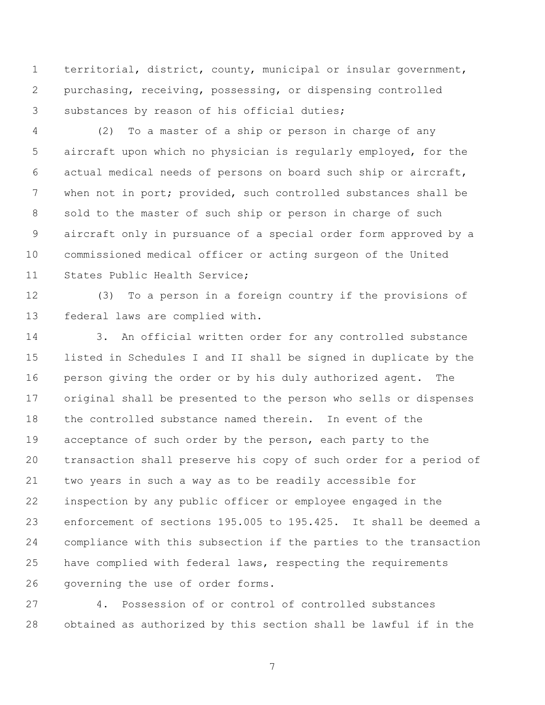territorial, district, county, municipal or insular government, purchasing, receiving, possessing, or dispensing controlled substances by reason of his official duties;

 (2) To a master of a ship or person in charge of any aircraft upon which no physician is regularly employed, for the actual medical needs of persons on board such ship or aircraft, when not in port; provided, such controlled substances shall be sold to the master of such ship or person in charge of such aircraft only in pursuance of a special order form approved by a commissioned medical officer or acting surgeon of the United States Public Health Service;

 (3) To a person in a foreign country if the provisions of federal laws are complied with.

 3. An official written order for any controlled substance listed in Schedules I and II shall be signed in duplicate by the person giving the order or by his duly authorized agent. The original shall be presented to the person who sells or dispenses the controlled substance named therein. In event of the 19 acceptance of such order by the person, each party to the transaction shall preserve his copy of such order for a period of two years in such a way as to be readily accessible for inspection by any public officer or employee engaged in the enforcement of sections 195.005 to 195.425. It shall be deemed a compliance with this subsection if the parties to the transaction have complied with federal laws, respecting the requirements governing the use of order forms.

 4. Possession of or control of controlled substances obtained as authorized by this section shall be lawful if in the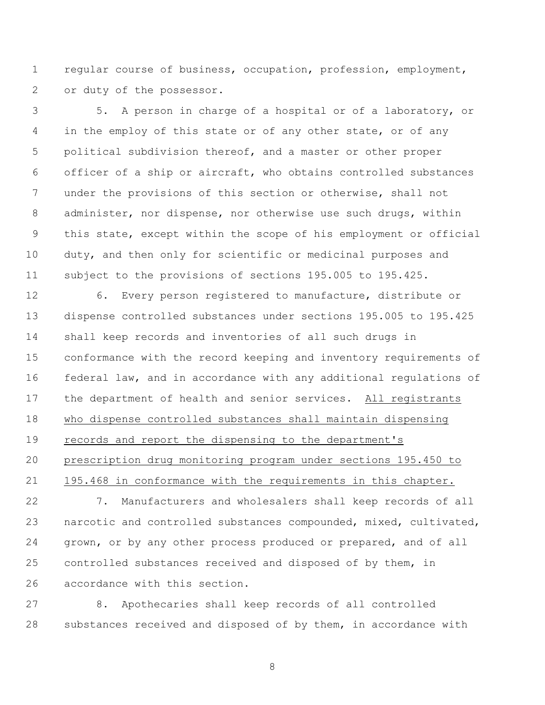regular course of business, occupation, profession, employment, or duty of the possessor.

 5. A person in charge of a hospital or of a laboratory, or 4 in the employ of this state or of any other state, or of any political subdivision thereof, and a master or other proper officer of a ship or aircraft, who obtains controlled substances under the provisions of this section or otherwise, shall not administer, nor dispense, nor otherwise use such drugs, within this state, except within the scope of his employment or official duty, and then only for scientific or medicinal purposes and subject to the provisions of sections 195.005 to 195.425.

 6. Every person registered to manufacture, distribute or dispense controlled substances under sections 195.005 to 195.425 shall keep records and inventories of all such drugs in conformance with the record keeping and inventory requirements of federal law, and in accordance with any additional regulations of the department of health and senior services. All registrants who dispense controlled substances shall maintain dispensing records and report the dispensing to the department's prescription drug monitoring program under sections 195.450 to 195.468 in conformance with the requirements in this chapter.

 7. Manufacturers and wholesalers shall keep records of all narcotic and controlled substances compounded, mixed, cultivated, grown, or by any other process produced or prepared, and of all controlled substances received and disposed of by them, in accordance with this section.

 8. Apothecaries shall keep records of all controlled substances received and disposed of by them, in accordance with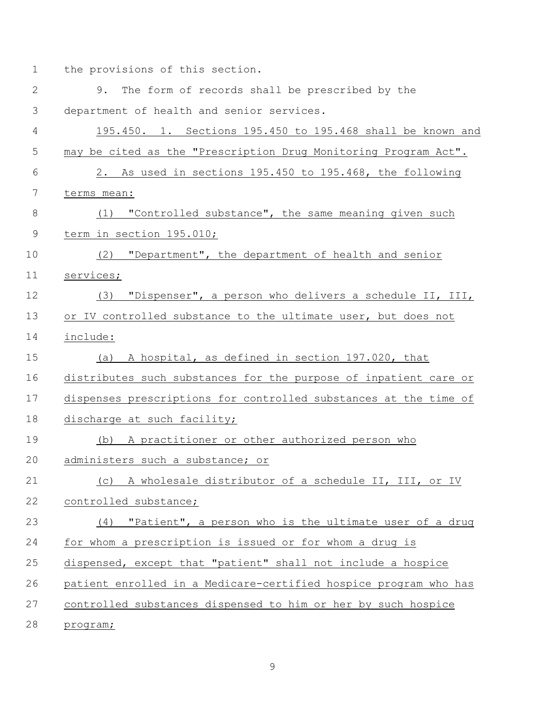1 the provisions of this section.

| $\mathbf{2}$   | The form of records shall be prescribed by the<br>9.             |
|----------------|------------------------------------------------------------------|
| 3              | department of health and senior services.                        |
| 4              | 195.450. 1. Sections 195.450 to 195.468 shall be known and       |
| 5              | may be cited as the "Prescription Drug Monitoring Program Act".  |
| 6              | 2. As used in sections 195.450 to 195.468, the following         |
| $\overline{7}$ | terms mean:                                                      |
| $8\,$          | "Controlled substance", the same meaning given such<br>(1)       |
| $\overline{9}$ | term in section 195.010;                                         |
| 10             | "Department", the department of health and senior<br>(2)         |
| 11             | services;                                                        |
| 12             | (3) "Dispenser", a person who delivers a schedule II, III,       |
| 13             | or IV controlled substance to the ultimate user, but does not    |
| 14             | include:                                                         |
| 15             | A hospital, as defined in section 197.020, that<br>(a)           |
| 16             | distributes such substances for the purpose of inpatient care or |
| 17             | dispenses prescriptions for controlled substances at the time of |
| 18             | discharge at such facility;                                      |
| 19             | A practitioner or other authorized person who<br>(b)             |
| 20             | administers such a substance; or                                 |
| 21             | (c) A wholesale distributor of a schedule II, III, or IV         |
| 22             | controlled substance;                                            |
| 23             | (4) "Patient", a person who is the ultimate user of a drug       |
| 24             | for whom a prescription is issued or for whom a drug is          |
| 25             | dispensed, except that "patient" shall not include a hospice     |
| 26             | patient enrolled in a Medicare-certified hospice program who has |
| 27             | controlled substances dispensed to him or her by such hospice    |
| 28             | program;                                                         |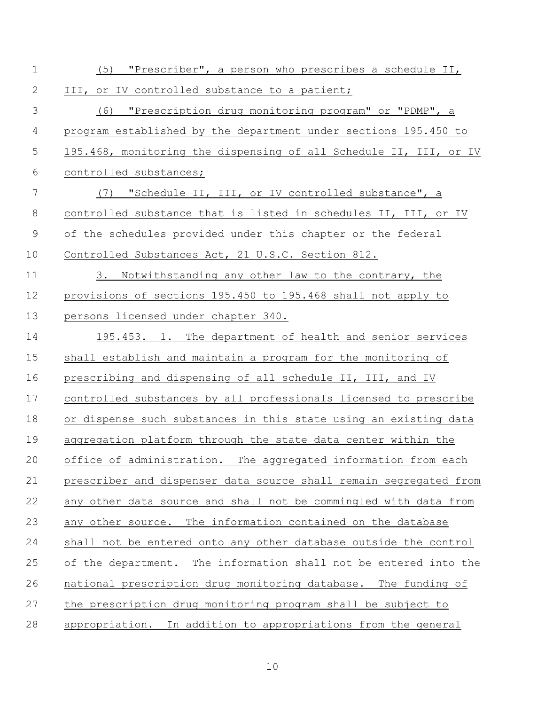| $\mathbf 1$ | (5) "Prescriber", a person who prescribes a schedule II,          |
|-------------|-------------------------------------------------------------------|
| 2           | III, or IV controlled substance to a patient;                     |
| 3           | (6) "Prescription drug monitoring program" or "PDMP", a           |
| 4           | program established by the department under sections 195.450 to   |
| 5           | 195.468, monitoring the dispensing of all Schedule II, III, or IV |
| 6           | controlled substances;                                            |
| 7           | (7) "Schedule II, III, or IV controlled substance", a             |
| 8           | controlled substance that is listed in schedules II, III, or IV   |
| 9           | of the schedules provided under this chapter or the federal       |
| 10          | Controlled Substances Act, 21 U.S.C. Section 812.                 |
| 11          | 3. Notwithstanding any other law to the contrary, the             |
| 12          | provisions of sections 195.450 to 195.468 shall not apply to      |
| 13          | persons licensed under chapter 340.                               |
| 14          | 195.453. 1. The department of health and senior services          |
| 15          | shall establish and maintain a program for the monitoring of      |
| 16          | prescribing and dispensing of all schedule II, III, and IV        |
| 17          | controlled substances by all professionals licensed to prescribe  |
| 18          | or dispense such substances in this state using an existing data  |
| 19          | aggregation platform through the state data center within the     |
| 20          | office of administration. The aggregated information from each    |
| 21          | prescriber and dispenser data source shall remain segregated from |
| 22          | any other data source and shall not be commingled with data from  |
| 23          | any other source. The information contained on the database       |
| 24          | shall not be entered onto any other database outside the control  |
| 25          | of the department. The information shall not be entered into the  |
| 26          | national prescription drug monitoring database. The funding of    |
| 27          | the prescription drug monitoring program shall be subject to      |
| 28          | appropriation. In addition to appropriations from the general     |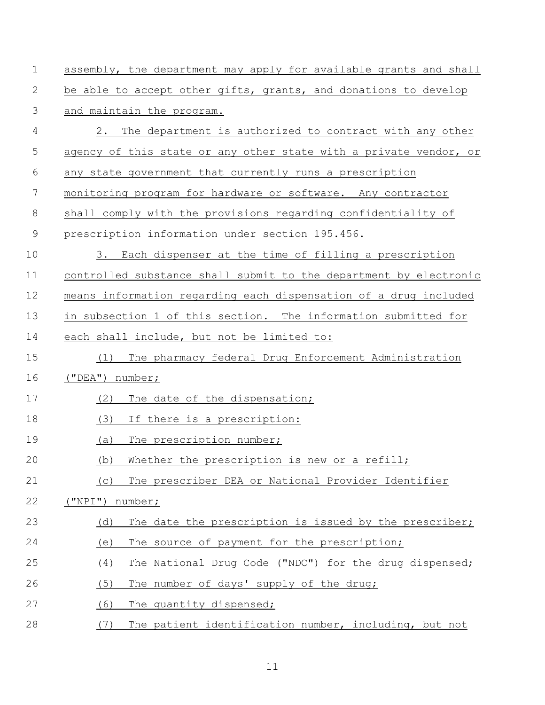| $\mathbf 1$ | assembly, the department may apply for available grants and shall |
|-------------|-------------------------------------------------------------------|
| 2           | be able to accept other gifts, grants, and donations to develop   |
| 3           | and maintain the program.                                         |
| 4           | 2. The department is authorized to contract with any other        |
| 5           | agency of this state or any other state with a private vendor, or |
| 6           | any state government that currently runs a prescription           |
| 7           | monitoring program for hardware or software. Any contractor       |
| 8           | shall comply with the provisions regarding confidentiality of     |
| $\mathsf 9$ | prescription information under section 195.456.                   |
| 10          | 3. Each dispenser at the time of filling a prescription           |
| 11          | controlled substance shall submit to the department by electronic |
| 12          | means information regarding each dispensation of a drug included  |
| 13          | in subsection 1 of this section. The information submitted for    |
| 14          | each shall include, but not be limited to:                        |
| 15          | The pharmacy federal Drug Enforcement Administration<br>(1)       |
| 16          | ("DEA") number;                                                   |
| 17          | The date of the dispensation;<br>(2)                              |
| 18          | (3)<br>If there is a prescription:                                |
| 19          | (a)<br>The prescription number;                                   |
| 20          | (b) Whether the prescription is new or a refill;                  |
| 21          | The prescriber DEA or National Provider Identifier<br>(C)         |
| 22          | ("NPI") number;                                                   |
| 23          | The date the prescription is issued by the prescriber;<br>(d)     |
| 24          | The source of payment for the prescription;<br>(e)                |
| 25          | (4)<br>The National Drug Code ("NDC") for the drug dispensed;     |
| 26          | (5)<br>The number of days' supply of the drug;                    |
| 27          | (6)<br>The quantity dispensed;                                    |
| 28          | (7)<br>The patient identification number, including, but not      |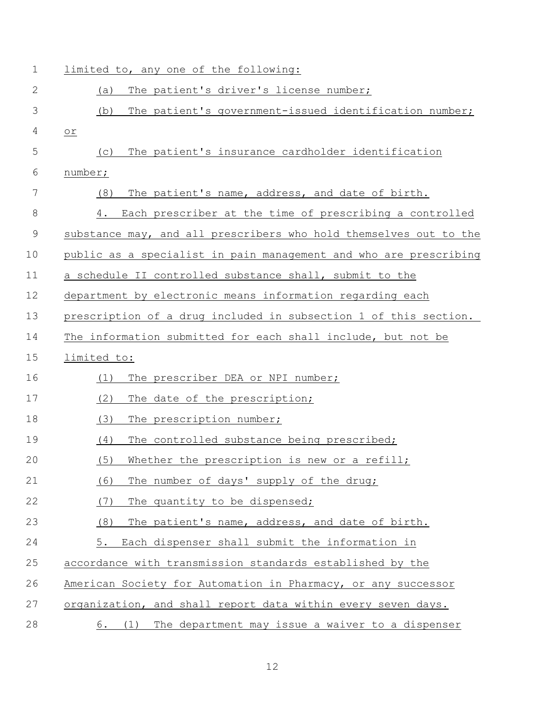| $\mathbf 1$  | limited to, any one of the following:                             |
|--------------|-------------------------------------------------------------------|
| $\mathbf{2}$ | The patient's driver's license number;<br>(a)                     |
| 3            | The patient's government-issued identification number;<br>(b)     |
| 4            | or                                                                |
| 5            | The patient's insurance cardholder identification<br>(C)          |
| 6            | number;                                                           |
| 7            | The patient's name, address, and date of birth.<br>(8)            |
| 8            | Each prescriber at the time of prescribing a controlled<br>4.     |
| $\mathsf 9$  | substance may, and all prescribers who hold themselves out to the |
| 10           | public as a specialist in pain management and who are prescribing |
| 11           | a schedule II controlled substance shall, submit to the           |
| 12           | department by electronic means information regarding each         |
| 13           | prescription of a drug included in subsection 1 of this section.  |
| 14           | The information submitted for each shall include, but not be      |
| 15           | limited to:                                                       |
| 16           | The prescriber DEA or NPI number;<br>(1)                          |
| 17           | (2)<br>The date of the prescription;                              |
| 18           | (3)<br>The prescription number;                                   |
| 19           | The controlled substance being prescribed;<br>(4)                 |
| 20           | (5)<br>Whether the prescription is new or a refill;               |
| 21           | (6)<br>The number of days' supply of the drug;                    |
| 22           | (7)<br>The quantity to be dispensed;                              |
| 23           | (8)<br>The patient's name, address, and date of birth.            |
| 24           | 5.<br>Each dispenser shall submit the information in              |
| 25           | accordance with transmission standards established by the         |
| 26           | American Society for Automation in Pharmacy, or any successor     |
| 27           | organization, and shall report data within every seven days.      |
| 28           | The department may issue a waiver to a dispenser<br>(1)<br>6.     |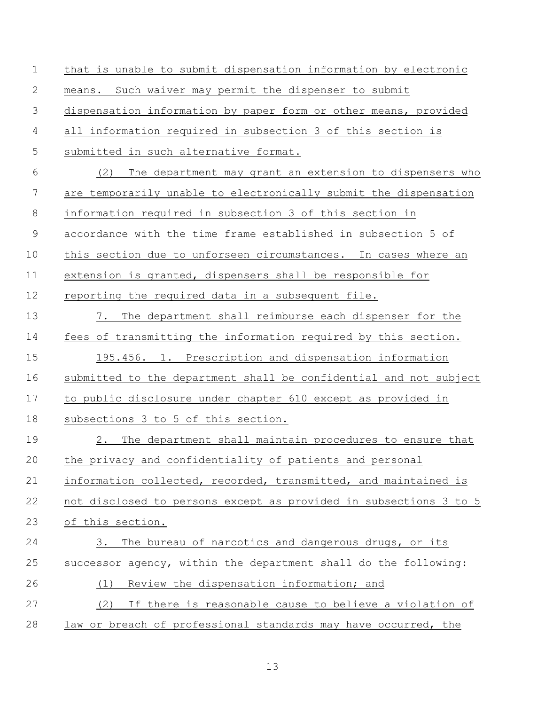| $\mathbf 1$   | that is unable to submit dispensation information by electronic   |
|---------------|-------------------------------------------------------------------|
| 2             | means. Such waiver may permit the dispenser to submit             |
| 3             | dispensation information by paper form or other means, provided   |
| 4             | all information required in subsection 3 of this section is       |
| 5             | submitted in such alternative format.                             |
| 6             | The department may grant an extension to dispensers who<br>(2)    |
| 7             | are temporarily unable to electronically submit the dispensation  |
| 8             | information required in subsection 3 of this section in           |
| $\mathcal{G}$ | accordance with the time frame established in subsection 5 of     |
| 10            | this section due to unforseen circumstances. In cases where an    |
| 11            | extension is granted, dispensers shall be responsible for         |
| 12            | reporting the required data in a subsequent file.                 |
| 13            | 7.<br>The department shall reimburse each dispenser for the       |
| 14            | fees of transmitting the information required by this section.    |
| 15            | 195.456. 1. Prescription and dispensation information             |
| 16            | submitted to the department shall be confidential and not subject |
| 17            | to public disclosure under chapter 610 except as provided in      |
| 18            | subsections 3 to 5 of this section.                               |
| 19            | 2. The department shall maintain procedures to ensure that        |
| 20            | the privacy and confidentiality of patients and personal          |
| 21            | information collected, recorded, transmitted, and maintained is   |
| 22            | not disclosed to persons except as provided in subsections 3 to 5 |
| 23            | of this section.                                                  |
| 24            | The bureau of narcotics and dangerous drugs, or its<br>3.         |
| 25            | successor agency, within the department shall do the following:   |
| 26            | Review the dispensation information; and<br>(1)                   |
| 27            | If there is reasonable cause to believe a violation of<br>(2)     |
| 28            | law or breach of professional standards may have occurred, the    |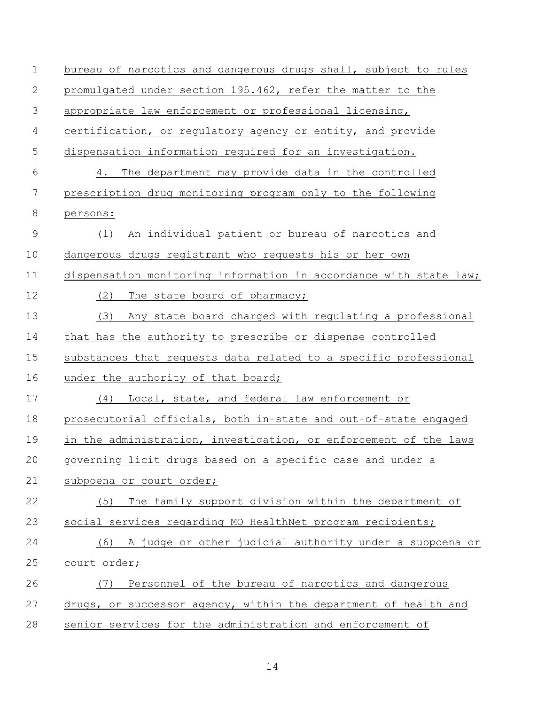| $\mathbf 1$ | bureau of narcotics and dangerous drugs shall, subject to rules   |
|-------------|-------------------------------------------------------------------|
| 2           | promulgated under section 195.462, refer the matter to the        |
| 3           | appropriate law enforcement or professional licensing,            |
| 4           | certification, or regulatory agency or entity, and provide        |
| 5           | dispensation information required for an investigation.           |
| 6           | 4. The department may provide data in the controlled              |
| 7           | prescription drug monitoring program only to the following        |
| 8           | persons:                                                          |
| $\mathsf 9$ | An individual patient or bureau of narcotics and<br>(1)           |
| 10          | dangerous drugs registrant who requests his or her own            |
| 11          | dispensation monitoring information in accordance with state law; |
| 12          | (2)<br>The state board of pharmacy;                               |
| 13          | Any state board charged with regulating a professional<br>(3)     |
| 14          | that has the authority to prescribe or dispense controlled        |
| 15          | substances that requests data related to a specific professional  |
| 16          | under the authority of that board;                                |
| 17          | Local, state, and federal law enforcement or<br>(4)               |
| 18          | prosecutorial officials, both in-state and out-of-state engaged   |
| 19          | in the administration, investigation, or enforcement of the laws  |
| 20          | governing licit drugs based on a specific case and under a        |
| 21          | subpoena or court order;                                          |
| 22          | The family support division within the department of<br>(5)       |
| 23          | social services regarding MO HealthNet program recipients;        |
| 24          | A judge or other judicial authority under a subpoena or<br>(6)    |
| 25          | court order;                                                      |
| 26          | Personnel of the bureau of narcotics and dangerous<br>(7)         |
| 27          | drugs, or successor agency, within the department of health and   |
| 28          | senior services for the administration and enforcement of         |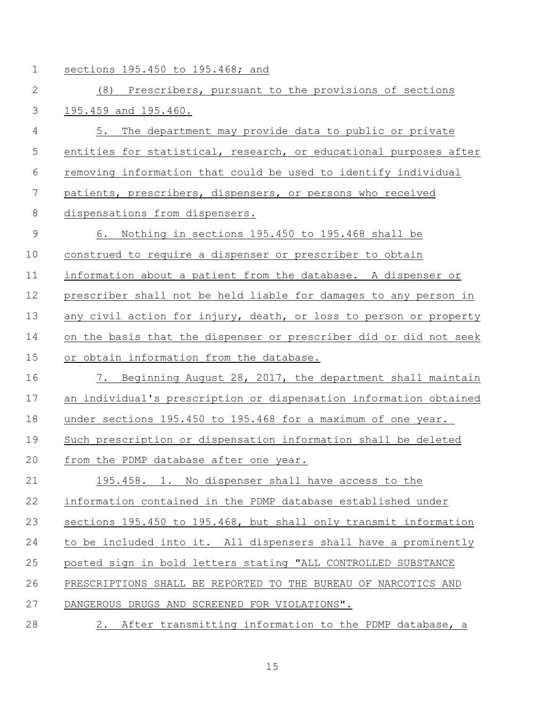- 
- 1 sections 195.450 to 195.468; and

| $\mathbf{2}$ | (8) Prescribers, pursuant to the provisions of sections           |
|--------------|-------------------------------------------------------------------|
| 3            | 195.459 and 195.460.                                              |
| 4            | The department may provide data to public or private<br>5.        |
| 5            | entities for statistical, research, or educational purposes after |
| 6            | removing information that could be used to identify individual    |
| 7            | patients, prescribers, dispensers, or persons who received        |
| 8            | dispensations from dispensers.                                    |
| $\mathsf 9$  | 6. Nothing in sections 195.450 to 195.468 shall be                |
| 10           | construed to require a dispenser or prescriber to obtain          |
| 11           | information about a patient from the database. A dispenser or     |
| 12           | prescriber shall not be held liable for damages to any person in  |
| 13           | any civil action for injury, death, or loss to person or property |
| 14           | on the basis that the dispenser or prescriber did or did not seek |
| 15           | or obtain information from the database.                          |
| 16           | 7. Beginning August 28, 2017, the department shall maintain       |
| 17           | an individual's prescription or dispensation information obtained |
| 18           | under sections 195.450 to 195.468 for a maximum of one year.      |
| 19           | Such prescription or dispensation information shall be deleted    |
| 20           | from the PDMP database after one year.                            |
| 21           | 195.458. 1. No dispenser shall have access to the                 |
| 22           | information contained in the PDMP database established under      |
| 23           | sections 195.450 to 195.468, but shall only transmit information  |
| 24           | to be included into it. All dispensers shall have a prominently   |
| 25           | posted sign in bold letters stating "ALL CONTROLLED SUBSTANCE     |
| 26           | PRESCRIPTIONS SHALL BE REPORTED TO THE BUREAU OF NARCOTICS AND    |
| 27           | DANGEROUS DRUGS AND SCREENED FOR VIOLATIONS".                     |
| 28           | 2. After transmitting information to the PDMP database, a         |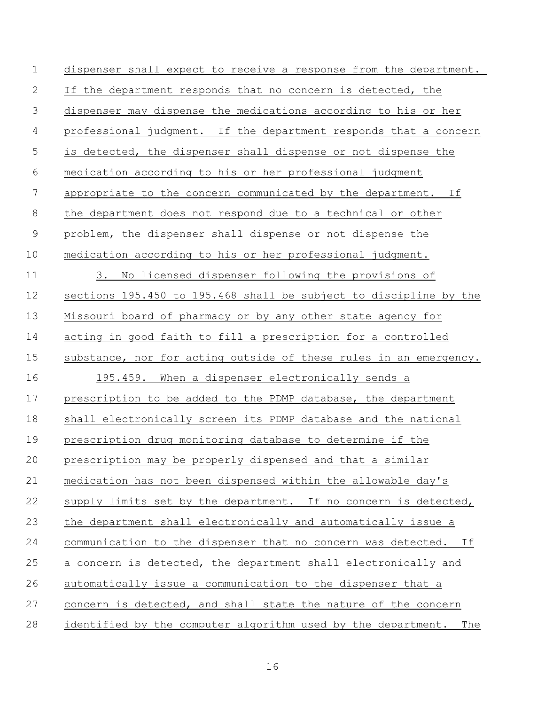| $\mathbf 1$    | dispenser shall expect to receive a response from the department.   |
|----------------|---------------------------------------------------------------------|
| 2              | If the department responds that no concern is detected, the         |
| 3              | dispenser may dispense the medications according to his or her      |
| $\overline{4}$ | professional judgment. If the department responds that a concern    |
| 5              | is detected, the dispenser shall dispense or not dispense the       |
| 6              | medication according to his or her professional judgment            |
| 7              | appropriate to the concern communicated by the department. If       |
| $\,8\,$        | the department does not respond due to a technical or other         |
| $\mathsf 9$    | problem, the dispenser shall dispense or not dispense the           |
| 10             | medication according to his or her professional judgment.           |
| 11             | No licensed dispenser following the provisions of<br>3.             |
| 12             | sections 195.450 to 195.468 shall be subject to discipline by the   |
| 13             | Missouri board of pharmacy or by any other state agency for         |
| 14             | acting in good faith to fill a prescription for a controlled        |
| 15             | substance, nor for acting outside of these rules in an emergency.   |
| 16             | 195.459. When a dispenser electronically sends a                    |
| 17             | prescription to be added to the PDMP database, the department       |
| 18             | shall electronically screen its PDMP database and the national      |
| 19             | prescription drug monitoring database to determine if the           |
| 20             | prescription may be properly dispensed and that a similar           |
| 21             | medication has not been dispensed within the allowable day's        |
| 22             | supply limits set by the department. If no concern is detected,     |
| 23             | the department shall electronically and automatically issue a       |
| 24             | communication to the dispenser that no concern was detected. If     |
| 25             | a concern is detected, the department shall electronically and      |
| 26             | automatically issue a communication to the dispenser that a         |
| 27             | concern is detected, and shall state the nature of the concern      |
| 28             | identified by the computer algorithm used by the department.<br>The |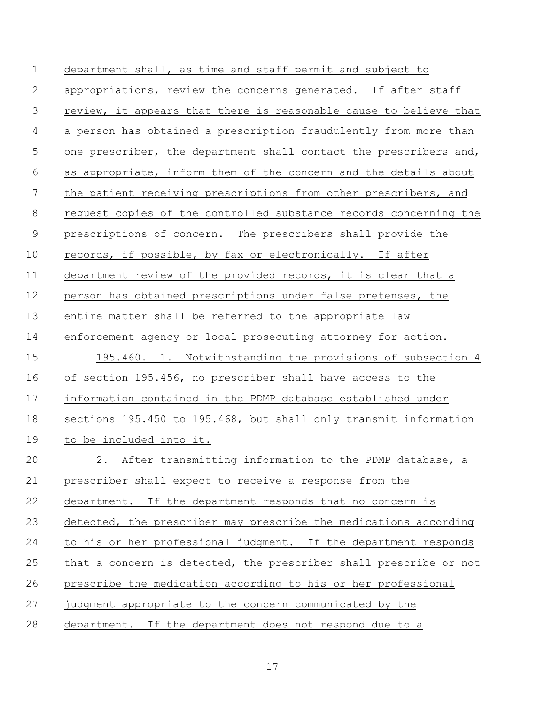department shall, as time and staff permit and subject to appropriations, review the concerns generated. If after staff review, it appears that there is reasonable cause to believe that a person has obtained a prescription fraudulently from more than 5 one prescriber, the department shall contact the prescribers and, as appropriate, inform them of the concern and the details about the patient receiving prescriptions from other prescribers, and request copies of the controlled substance records concerning the prescriptions of concern. The prescribers shall provide the records, if possible, by fax or electronically. If after 11 department review of the provided records, it is clear that a person has obtained prescriptions under false pretenses, the entire matter shall be referred to the appropriate law enforcement agency or local prosecuting attorney for action. 195.460. 1. Notwithstanding the provisions of subsection 4 of section 195.456, no prescriber shall have access to the information contained in the PDMP database established under sections 195.450 to 195.468, but shall only transmit information to be included into it. 2. After transmitting information to the PDMP database, a prescriber shall expect to receive a response from the department. If the department responds that no concern is detected, the prescriber may prescribe the medications according to his or her professional judgment. If the department responds that a concern is detected, the prescriber shall prescribe or not prescribe the medication according to his or her professional judgment appropriate to the concern communicated by the department. If the department does not respond due to a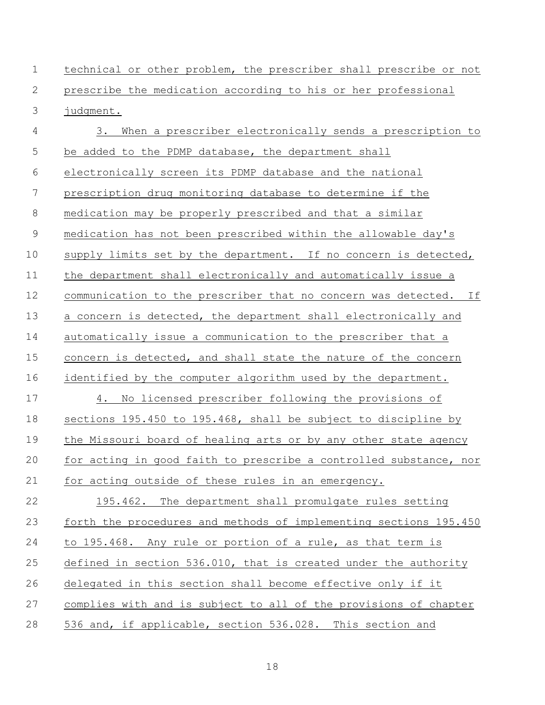| $\mathbf 1$ | technical or other problem, the prescriber shall prescribe or not |
|-------------|-------------------------------------------------------------------|
| 2           | prescribe the medication according to his or her professional     |
| 3           | judgment.                                                         |
| 4           | When a prescriber electronically sends a prescription to<br>3.    |
| 5           | be added to the PDMP database, the department shall               |
| 6           | electronically screen its PDMP database and the national          |
| 7           | prescription drug monitoring database to determine if the         |
| $\,8\,$     | medication may be properly prescribed and that a similar          |
| $\mathsf 9$ | medication has not been prescribed within the allowable day's     |
| 10          | supply limits set by the department. If no concern is detected,   |
| 11          | the department shall electronically and automatically issue a     |
| 12          | communication to the prescriber that no concern was detected. If  |
| 13          | a concern is detected, the department shall electronically and    |
| 14          | automatically issue a communication to the prescriber that a      |
| 15          | concern is detected, and shall state the nature of the concern    |
| 16          | identified by the computer algorithm used by the department.      |
| 17          | 4. No licensed prescriber following the provisions of             |
| 18          | sections 195.450 to 195.468, shall be subject to discipline by    |
| 19          | the Missouri board of healing arts or by any other state agency   |
| 20          | for acting in good faith to prescribe a controlled substance, nor |
| 21          | for acting outside of these rules in an emergency.                |
| 22          | 195.462. The department shall promulgate rules setting            |
| 23          | forth the procedures and methods of implementing sections 195.450 |
| 24          | to 195.468. Any rule or portion of a rule, as that term is        |
| 25          | defined in section 536.010, that is created under the authority   |
| 26          | delegated in this section shall become effective only if it       |
| 27          | complies with and is subject to all of the provisions of chapter  |
| 28          | 536 and, if applicable, section 536.028. This section and         |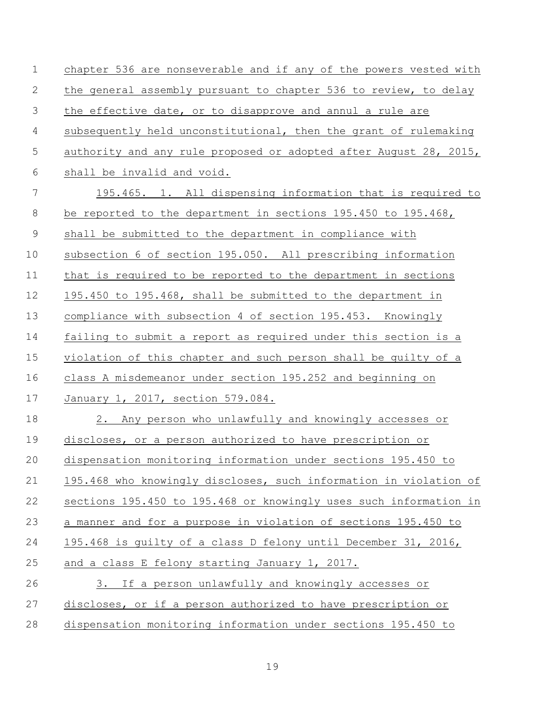| $\mathbf 1$    | chapter 536 are nonseverable and if any of the powers vested with |
|----------------|-------------------------------------------------------------------|
| 2              | the general assembly pursuant to chapter 536 to review, to delay  |
| 3              | the effective date, or to disapprove and annul a rule are         |
| $\overline{4}$ | subsequently held unconstitutional, then the grant of rulemaking  |
| 5              | authority and any rule proposed or adopted after August 28, 2015, |
| 6              | shall be invalid and void.                                        |
| 7              | 195.465. 1. All dispensing information that is required to        |
| 8              | be reported to the department in sections 195.450 to 195.468,     |
| $\mathsf 9$    | shall be submitted to the department in compliance with           |
| 10             | subsection 6 of section 195.050. All prescribing information      |
| 11             | that is required to be reported to the department in sections     |
| 12             | 195.450 to 195.468, shall be submitted to the department in       |
| 13             | compliance with subsection 4 of section 195.453. Knowingly        |
| 14             | failing to submit a report as required under this section is a    |
| 15             | violation of this chapter and such person shall be guilty of a    |
| 16             | class A misdemeanor under section 195.252 and beginning on        |
| 17             | January 1, 2017, section 579.084.                                 |
| 18             | 2. Any person who unlawfully and knowingly accesses or            |
| 19             | discloses, or a person authorized to have prescription or         |
| 20             | dispensation monitoring information under sections 195.450 to     |
| 21             | 195.468 who knowingly discloses, such information in violation of |
| 22             | sections 195.450 to 195.468 or knowingly uses such information in |
| 23             | a manner and for a purpose in violation of sections 195.450 to    |
| 24             | 195.468 is guilty of a class D felony until December 31, 2016,    |
| 25             | and a class E felony starting January 1, 2017.                    |
| 26             | 3. If a person unlawfully and knowingly accesses or               |
| 27             | discloses, or if a person authorized to have prescription or      |
| 28             | dispensation monitoring information under sections 195.450 to     |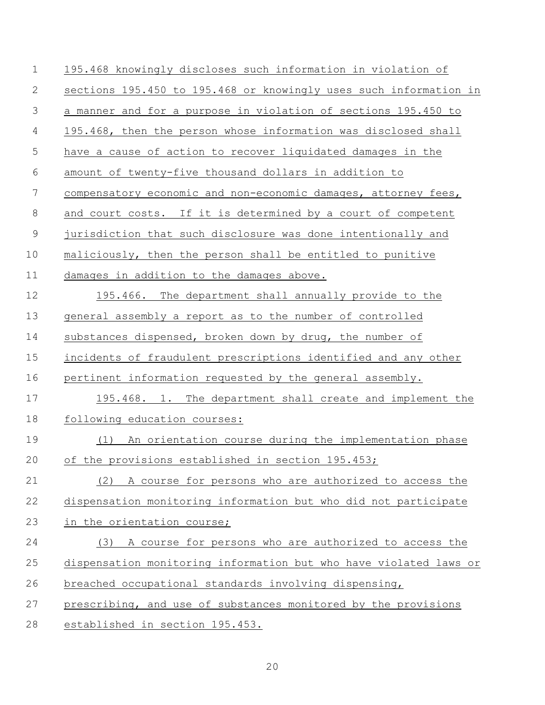| $\mathbf 1$    | 195.468 knowingly discloses such information in violation of      |
|----------------|-------------------------------------------------------------------|
| 2              | sections 195.450 to 195.468 or knowingly uses such information in |
| 3              | a manner and for a purpose in violation of sections 195.450 to    |
| $\overline{4}$ | 195.468, then the person whose information was disclosed shall    |
| 5              | have a cause of action to recover liquidated damages in the       |
| 6              | amount of twenty-five thousand dollars in addition to             |
| $\overline{7}$ | compensatory economic and non-economic damages, attorney fees,    |
| $8\,$          | and court costs. If it is determined by a court of competent      |
| $\mathcal{G}$  | jurisdiction that such disclosure was done intentionally and      |
| 10             | maliciously, then the person shall be entitled to punitive        |
| 11             | damages in addition to the damages above.                         |
| 12             | 195.466. The department shall annually provide to the             |
| 13             | general assembly a report as to the number of controlled          |
| 14             | substances dispensed, broken down by drug, the number of          |
| 15             | incidents of fraudulent prescriptions identified and any other    |
| 16             | pertinent information requested by the general assembly.          |
| 17             | 195.468. 1. The department shall create and implement the         |
| 18             | following education courses:                                      |
| 19             | (1) An orientation course during the implementation phase         |
| 20             | of the provisions established in section 195.453;                 |
| 21             | (2) A course for persons who are authorized to access the         |
| 22             | dispensation monitoring information but who did not participate   |
| 23             | in the orientation course;                                        |
| 24             | A course for persons who are authorized to access the<br>(3)      |
| 25             | dispensation monitoring information but who have violated laws or |
| 26             | breached occupational standards involving dispensing,             |
| 27             | prescribing, and use of substances monitored by the provisions    |
| 28             | established in section 195.453.                                   |